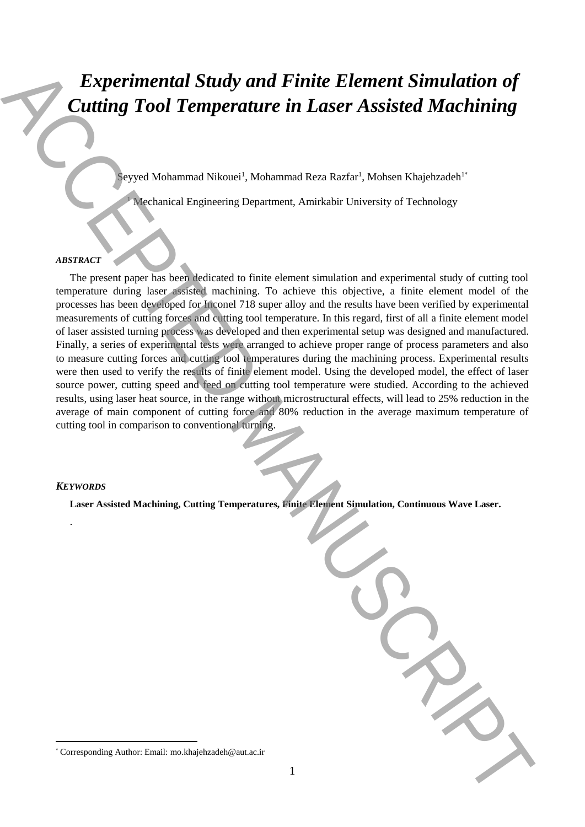# *Experimental Study and Finite Element Simulation of Cutting Tool Temperature in Laser Assisted Machining*

Seyyed Mohammad Nikouei<sup>1</sup>, Mohammad Reza Razfar<sup>1</sup>, Mohsen Khajehzadeh<sup>1\*</sup>

<sup>1</sup> Mechanical Engineering Department, Amirkabir University of Technology

# *ABSTRACT*

The present paper has been dedicated to finite element simulation and experimental study of cutting tool temperature during laser assisted machining. To achieve this objective, a finite element model of the processes has been developed for Inconel 718 super alloy and the results have been verified by experimental measurements of cutting forces and cutting tool temperature. In this regard, first of all a finite element model of laser assisted turning process was developed and then experimental setup was designed and manufactured. Finally, a series of experimental tests were arranged to achieve proper range of process parameters and also to measure cutting forces and cutting tool temperatures during the machining process. Experimental results were then used to verify the results of finite element model. Using the developed model, the effect of laser source power, cutting speed and feed on cutting tool temperature were studied. According to the achieved results, using laser heat source, in the range without microstructural effects, will lead to 25% reduction in the average of main component of cutting force and 80% reduction in the average maximum temperature of cutting tool in comparison to conventional turning. Experimental Study and Finite Element Simulation of<br>
Cutting Tool Temperature in Laser Assisted Machining<br>
The measure Shamma Shamma Shamma Shaher Mahar Nakara Nagaradeh<br>
The measure large part to handle the finite dense

# *KEYWORDS*

.

 $\overline{a}$ 

**Laser Assisted Machining, Cutting Temperatures, Finite Element Simulation, Continuous Wave Laser.**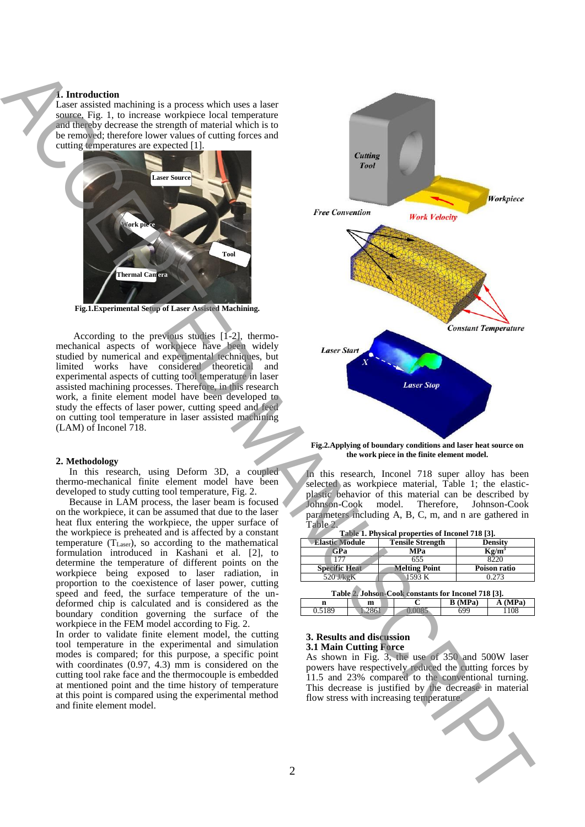## **1. Introduction**

Laser assisted machining is a process which uses a laser source, Fig. 1, to increase workpiece local temperature and thereby decrease the strength of material which is to be removed; therefore lower values of cutting forces and cutting temperatures are expected [1].



**Fig.1.Experimental Setup of Laser Assisted Machining.**

According to the previous studies [1-2], thermomechanical aspects of workpiece have been widely studied by numerical and experimental techniques, but limited works have considered theoretical and experimental aspects of cutting tool temperature in laser assisted machining processes. Therefore, in this research work, a finite element model have been developed to study the effects of laser power, cutting speed and feed on cutting tool temperature in laser assisted machining (LAM) of Inconel 718.

#### **2. Methodology**

In this research, using Deform 3D, a coupled thermo-mechanical finite element model have been developed to study cutting tool temperature, Fig. 2.

Because in LAM process, the laser beam is focused on the workpiece, it can be assumed that due to the laser heat flux entering the workpiece, the upper surface of the workpiece is preheated and is affected by a constant temperature  $(T_{Laser})$ , so according to the mathematical formulation introduced in Kashani et al. [2], to determine the temperature of different points on the workpiece being exposed to laser radiation, in proportion to the coexistence of laser power, cutting speed and feed, the surface temperature of the undeformed chip is calculated and is considered as the boundary condition governing the surface of the workpiece in the FEM model according to Fig. 2.

In order to validate finite element model, the cutting tool temperature in the experimental and simulation modes is compared; for this purpose, a specific point with coordinates (0.97, 4.3) mm is considered on the cutting tool rake face and the thermocouple is embedded at mentioned point and the time history of temperature at this point is compared using the experimental method and finite element model.



**Fig.2.Applying of boundary conditions and laser heat source on the work piece in the finite element model.**

In this research, Inconel 718 super alloy has been selected as workpiece material, Table 1; the elasticplastic behavior of this material can be described by Therefore, Johnson-Cook parameters including A, B, C, m, and n are gathered in Table 2.

| Table 1. Physical properties of Inconel 718 [3]. |                         |                |  |  |  |
|--------------------------------------------------|-------------------------|----------------|--|--|--|
| <b>Elastic Module</b>                            | <b>Tensile Strength</b> | <b>Density</b> |  |  |  |
| GPa                                              | MPa                     | $Kg/m^3$       |  |  |  |
| 177                                              | 655                     | 8220           |  |  |  |
| <b>Specific Heat</b>                             | <b>Melting Point</b>    | Poison ratio   |  |  |  |
| 520 J/kgK                                        | 1593 K                  | 0.273          |  |  |  |
|                                                  |                         |                |  |  |  |

| Table 2. Johson-Cook constants for Inconel 718 [3]. |      |      |                |        |  |  |
|-----------------------------------------------------|------|------|----------------|--------|--|--|
|                                                     | m    |      | <b>B</b> (MPa) | A(MPa) |  |  |
| 0.5189                                              | 2861 | 0085 | 699            | 1108   |  |  |

## **3. Results and discussion 3.1 Main Cutting Force**

As shown in Fig. 3, the use of 350 and 500W laser powers have respectively reduced the cutting forces by 11.5 and 23% compared to the conventional turning. This decrease is justified by the decrease in material flow stress with increasing temperature.